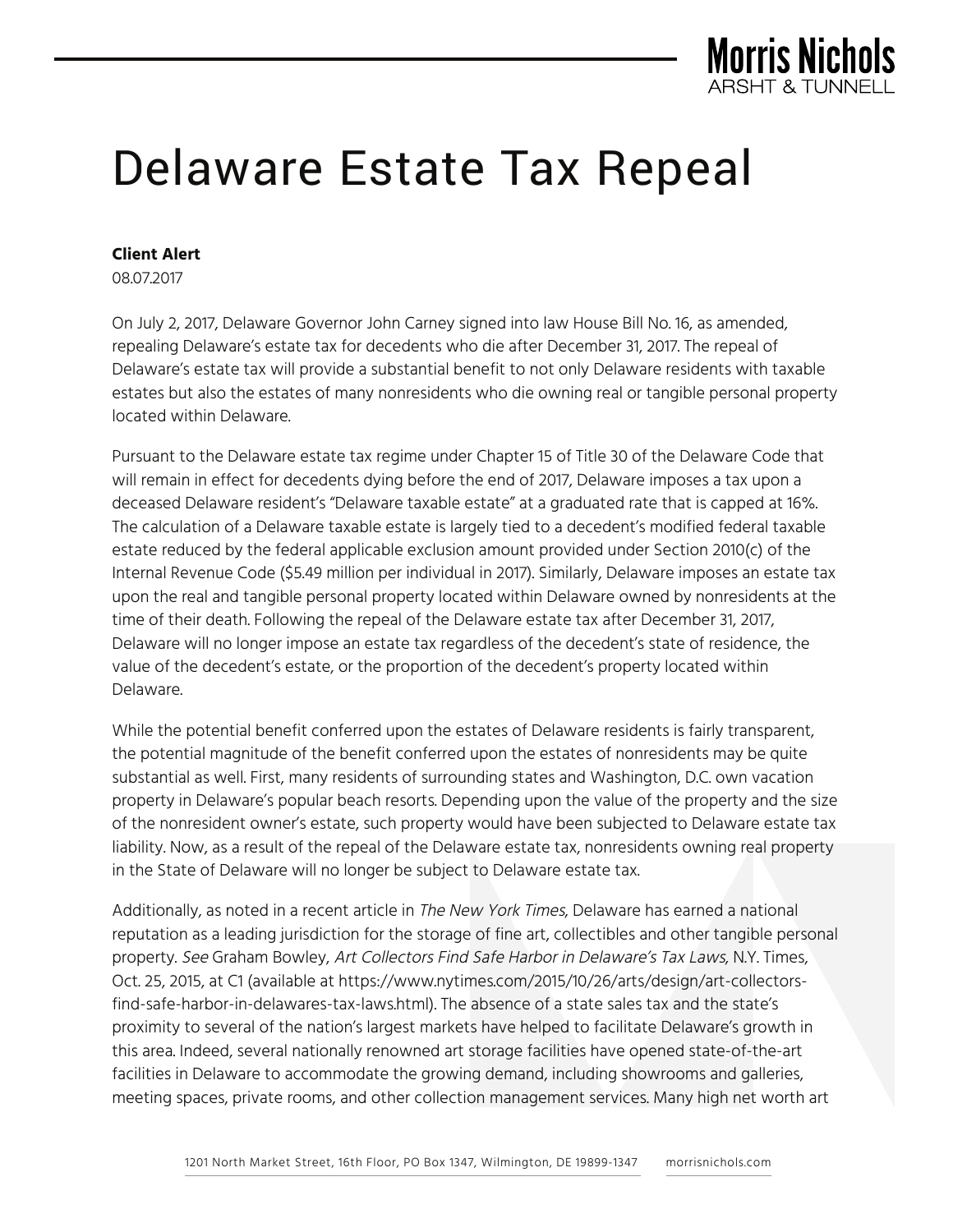

## Delaware Estate Tax Repeal

## **Client Alert**

08.07.2017

On July 2, 2017, Delaware Governor John Carney signed into law House Bill No. 16, as amended, repealing Delaware's estate tax for decedents who die after December 31, 2017. The repeal of Delaware's estate tax will provide a substantial benefit to not only Delaware residents with taxable estates but also the estates of many nonresidents who die owning real or tangible personal property located within Delaware.

Pursuant to the Delaware estate tax regime under Chapter 15 of Title 30 of the Delaware Code that will remain in effect for decedents dying before the end of 2017, Delaware imposes a tax upon a deceased Delaware resident's "Delaware taxable estate" at a graduated rate that is capped at 16%. The calculation of a Delaware taxable estate is largely tied to a decedent's modified federal taxable estate reduced by the federal applicable exclusion amount provided under Section 2010(c) of the Internal Revenue Code (\$5.49 million per individual in 2017). Similarly, Delaware imposes an estate tax upon the real and tangible personal property located within Delaware owned by nonresidents at the time of their death. Following the repeal of the Delaware estate tax after December 31, 2017, Delaware will no longer impose an estate tax regardless of the decedent's state of residence, the value of the decedent's estate, or the proportion of the decedent's property located within Delaware.

While the potential benefit conferred upon the estates of Delaware residents is fairly transparent, the potential magnitude of the benefit conferred upon the estates of nonresidents may be quite substantial as well. First, many residents of surrounding states and Washington, D.C. own vacation property in Delaware's popular beach resorts. Depending upon the value of the property and the size of the nonresident owner's estate, such property would have been subjected to Delaware estate tax liability. Now, as a result of the repeal of the Delaware estate tax, nonresidents owning real property in the State of Delaware will no longer be subject to Delaware estate tax.

Additionally, as noted in a recent article in The New York Times, Delaware has earned a national reputation as a leading jurisdiction for the storage of fine art, collectibles and other tangible personal property. See Graham Bowley, Art Collectors Find Safe Harbor in Delaware's Tax Laws, N.Y. Times, Oct. 25, 2015, at C1 (available at https://www.nytimes.com/2015/10/26/arts/design/art-collectorsfind-safe-harbor-in-delawares-tax-laws.html). The absence of a state sales tax and the state's proximity to several of the nation's largest markets have helped to facilitate Delaware's growth in this area. Indeed, several nationally renowned art storage facilities have opened state-of-the-art facilities in Delaware to accommodate the growing demand, including showrooms and galleries, meeting spaces, private rooms, and other collection management services. Many high net worth art